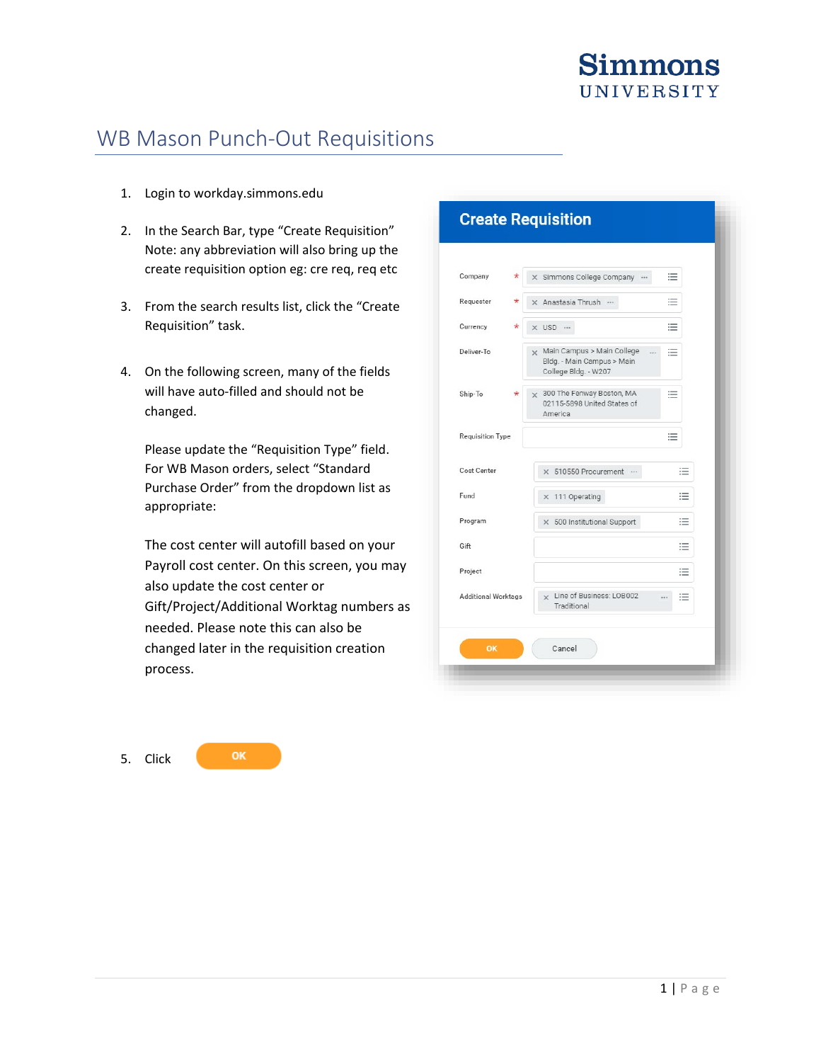# WB Mason Punch-Out Requisitions

- 1. Login to workday.simmons.edu
- 2. In the Search Bar, type "Create Requisition" Note: any abbreviation will also bring up the create requisition option eg: cre req, req etc
- 3. From the search results list, click the "Create Requisition" task.
- 4. On the following screen, many of the fields will have auto-filled and should not be changed.

Please update the "Requisition Type" field. For WB Mason orders, select "Standard Purchase Order" from the dropdown list as appropriate:

The cost center will autofill based on your Payroll cost center. On this screen, you may also update the cost center or Gift/Project/Additional Worktag numbers as needed. Please note this can also be changed later in the requisition creation process.

5. Click

OK

| Company                    | * | 這<br>X Simmons College Company                                                          |  |
|----------------------------|---|-----------------------------------------------------------------------------------------|--|
| Requester                  |   | 這<br>X Anastasia Thrush                                                                 |  |
| Currency                   |   | 這<br>x USD                                                                              |  |
| Deliver-To                 |   | x Main Campus > Main College<br>這<br>Bldg. - Main Campus > Main<br>College Bldg. - W207 |  |
| Ship-To                    | * | x 300 The Fenway Boston, MA<br>注<br>02115-5898 United States of<br>America              |  |
| <b>Requisition Type</b>    |   | 洼                                                                                       |  |
| Cost Center                |   | ≔<br>× 510550 Procurement                                                               |  |
| Fund                       |   | 洼<br>X 111 Operating                                                                    |  |
| Program                    |   | 洼<br>× 500 Institutional Support                                                        |  |
| Gift                       |   | 注                                                                                       |  |
| Project                    |   | 洼                                                                                       |  |
| <b>Additional Worktags</b> |   | x Line of Business: LOB002<br>洼<br>$\cdots$<br>Traditional                              |  |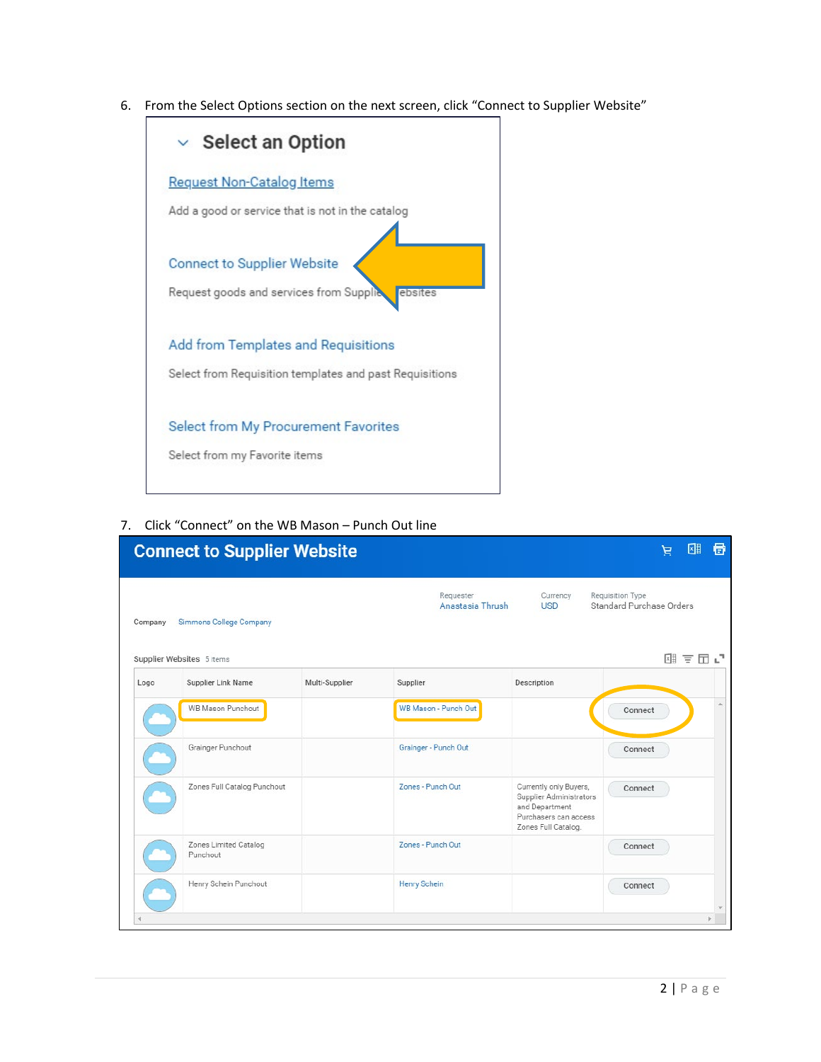6. From the Select Options section on the next screen, click "Connect to Supplier Website"



7. Click "Connect" on the WB Mason – Punch Out line

|         | <b>Connect to Supplier Website</b> |                |                               |                                                                                                                     | ㄹ                                            | 目<br>⊠≣ |
|---------|------------------------------------|----------------|-------------------------------|---------------------------------------------------------------------------------------------------------------------|----------------------------------------------|---------|
| Company | Simmons College Company            |                | Requester<br>Anastasia Thrush | Currency<br><b>USD</b>                                                                                              | Requisition Type<br>Standard Purchase Orders |         |
|         | Supplier Websites 5 items          |                |                               |                                                                                                                     |                                              | 제 토田 년  |
| Logo    | Supplier Link Name                 | Multi-Supplier | Supplier                      | Description                                                                                                         |                                              |         |
|         | <b>WB Mason Punchout</b>           |                | WB Mason - Punch Out          |                                                                                                                     | Connect                                      |         |
|         | Grainger Punchout                  |                | Grainger - Punch Out          |                                                                                                                     | Connect                                      |         |
|         | Zones Full Catalog Punchout        |                | Zones - Punch Out             | Currently only Buyers,<br>Supplier Administrators<br>and Department<br>Purchasers can access<br>Zones Full Catalog. | Connect                                      |         |
|         | Zones Limited Catalog<br>Punchout  |                | Zones - Punch Out             |                                                                                                                     | Connect                                      |         |
|         | Henry Schein Punchout              |                | <b>Henry Schein</b>           |                                                                                                                     | Connect                                      |         |
|         |                                    |                |                               |                                                                                                                     |                                              |         |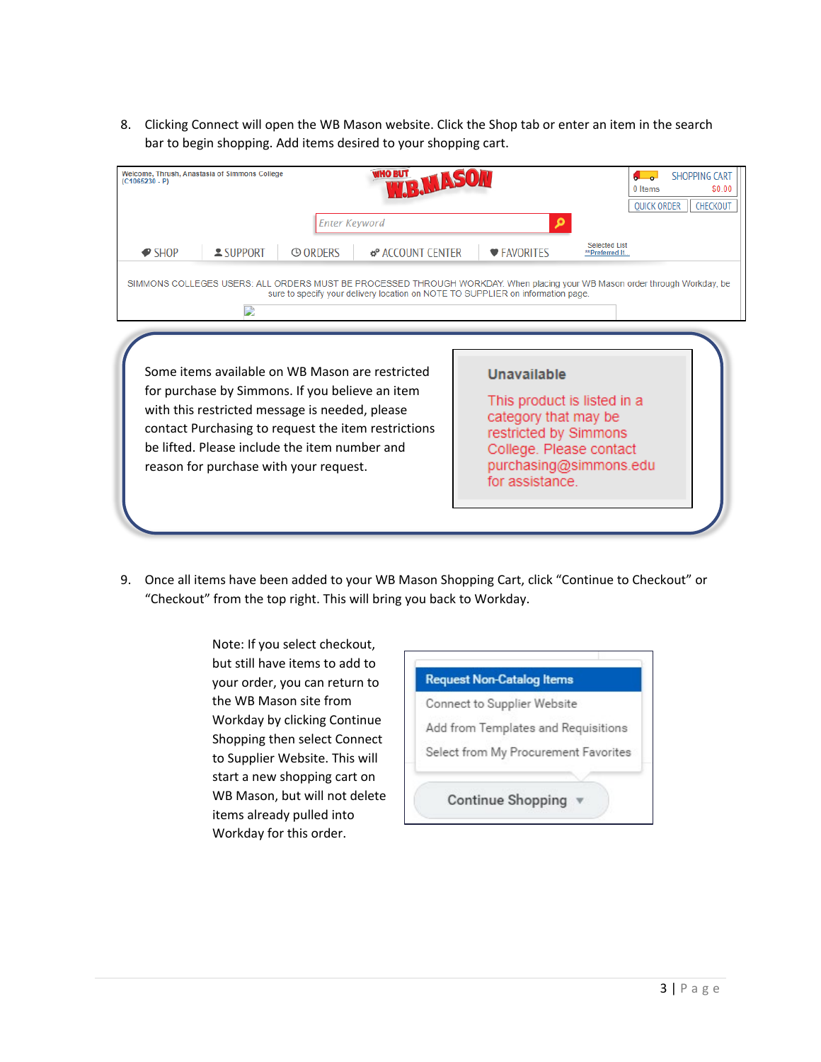8. Clicking Connect will open the WB Mason website. Click the Shop tab or enter an item in the search bar to begin shopping. Add items desired to your shopping cart.

| Welcome, Thrush, Anastasia of Simmons College<br>$(C1065230 - P)$ |                                                                                                                                                                                                                                                 | <b>Enter Keyword</b> | <b>WHO BUT</b><br><b>R MASO</b>                     |                                                                                                                                                                                                                                     |                                                       | <b>SHOPPING CART</b><br>\$0.00<br>0 Items<br><b>OUICK ORDER</b><br>CHECKOUT |
|-------------------------------------------------------------------|-------------------------------------------------------------------------------------------------------------------------------------------------------------------------------------------------------------------------------------------------|----------------------|-----------------------------------------------------|-------------------------------------------------------------------------------------------------------------------------------------------------------------------------------------------------------------------------------------|-------------------------------------------------------|-----------------------------------------------------------------------------|
| $\bullet$ SHOP                                                    | $S$ UPPORT<br>D                                                                                                                                                                                                                                 | <b>© ORDERS</b>      | <b>B</b> <sup>P</sup> ACCOUNT CENTER                | <b>♥ FAVORITES</b><br>SIMMONS COLLEGES USERS: ALL ORDERS MUST BE PROCESSED THROUGH WORKDAY. When placing your WB Mason order through Workday, be<br>sure to specify your delivery location on NOTE TO SUPPLIER on information page. | <b>Selected List</b><br>**Preferred It                |                                                                             |
|                                                                   | Some items available on WB Mason are restricted<br>for purchase by Simmons. If you believe an item<br>with this restricted message is needed, please<br>be lifted. Please include the item number and<br>reason for purchase with your request. |                      | contact Purchasing to request the item restrictions | Unavailable<br>category that may be<br>restricted by Simmons<br>College. Please contact<br>for assistance.                                                                                                                          | This product is listed in a<br>purchasing@simmons.edu |                                                                             |

9. Once all items have been added to your WB Mason Shopping Cart, click "Continue to Checkout" or "Checkout" from the top right. This will bring you back to Workday.

> Note: If you select checkout, but still have items to add to your order, you can return to the WB Mason site from Workday by clicking Continue Shopping then select Connect to Supplier Website. This will start a new shopping cart on WB Mason, but will not delete items already pulled into Workday for this order.

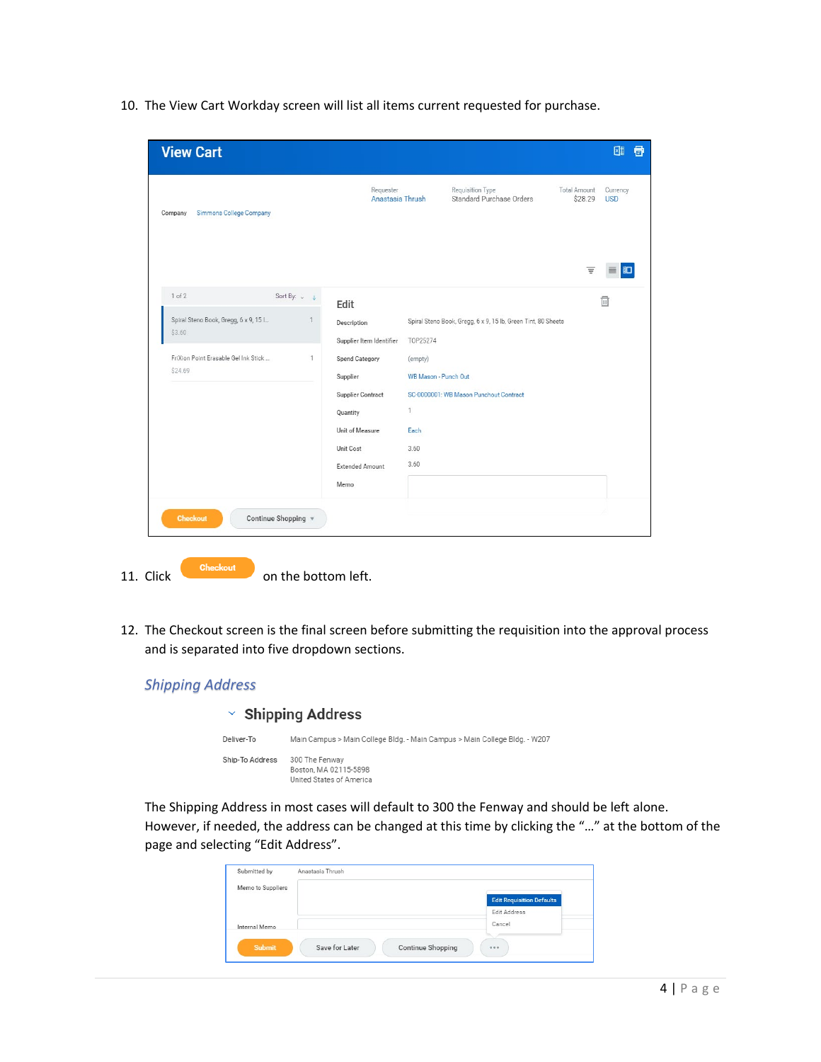10. The View Cart Workday screen will list all items current requested for purchase.

| <b>View Cart</b>                                |                     |                                         |                                 |                                                               |                                | 匯<br>骨                 |
|-------------------------------------------------|---------------------|-----------------------------------------|---------------------------------|---------------------------------------------------------------|--------------------------------|------------------------|
| Simmons College Company<br>Company              |                     | Requester<br>Anastasia Thrush           |                                 | Requisition Type<br>Standard Purchase Orders                  | <b>Total Amount</b><br>\$28.29 | Currency<br><b>USD</b> |
|                                                 |                     |                                         |                                 |                                                               | Ξ                              |                        |
| 1 of 2                                          | Sort By: $\sqrt{2}$ | Edit                                    |                                 |                                                               |                                | $\Box$                 |
| Spiral Steno Book, Gregg, 6 x 9, 15 l<br>\$3.60 |                     | Description<br>Supplier Item Identifier | T0P25274                        | Spiral Steno Book, Gregg, 6 x 9, 15 lb, Green Tint, 80 Sheets |                                |                        |
| FriXion Point Erasable Gel Ink Stick<br>\$24.69 | $\mathbf{1}$        | Spend Category<br>Supplier              | (empty)<br>WB Mason - Punch Out |                                                               |                                |                        |
|                                                 |                     | <b>Supplier Contract</b>                |                                 | SC-0000001: WB Mason Punchout Contract                        |                                |                        |
|                                                 |                     | Quantity                                | $\mathbf{1}$                    |                                                               |                                |                        |
|                                                 |                     | Unit of Measure                         | Each                            |                                                               |                                |                        |
|                                                 |                     | Unit Cost<br><b>Extended Amount</b>     | 3.60<br>3.60                    |                                                               |                                |                        |
|                                                 |                     | Memo                                    |                                 |                                                               |                                |                        |
| <b>Checkout</b><br>Continue Shopping            |                     |                                         |                                 |                                                               |                                |                        |

- 11. Click on the bottom left.
- 12. The Checkout screen is the final screen before submitting the requisition into the approval process and is separated into five dropdown sections.



The Shipping Address in most cases will default to 300 the Fenway and should be left alone. However, if needed, the address can be changed at this time by clicking the "…" at the bottom of the page and selecting "Edit Address".

| Submitted by      | Anastasia Thrush |                          |                                  |
|-------------------|------------------|--------------------------|----------------------------------|
| Memo to Suppliers |                  |                          |                                  |
|                   |                  |                          | <b>Edit Requisition Defaults</b> |
|                   |                  |                          | Edit Address                     |
| Internal Memo     |                  |                          | Cancel                           |
|                   |                  |                          |                                  |
| <b>Submit</b>     | Save for Later   | <b>Continue Shopping</b> | 0.0.0                            |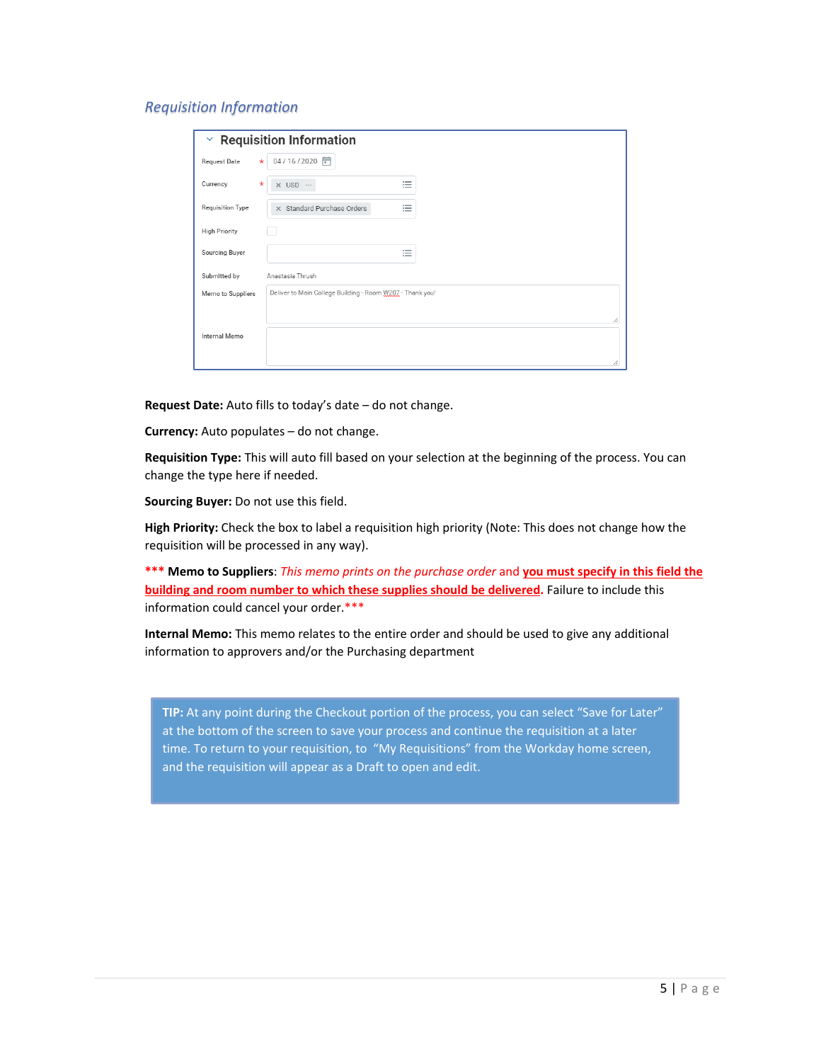### *Requisition Information*

| ×                    |          | <b>Requisition Information</b>                            |   |
|----------------------|----------|-----------------------------------------------------------|---|
| Request Date         | $\star$  | 04/16/2020                                                |   |
| Currency             | $^\star$ | 洼<br>$\times$ USD $\cdots$                                |   |
| Requisition Type     |          | 洼<br>X Standard Purchase Orders                           |   |
| <b>High Priority</b> |          |                                                           |   |
| Sourcing Buyer       |          | $\overline{\phantom{a}}$<br>$\equiv$                      |   |
| Submitted by         |          | Anastasia Thrush                                          |   |
| Memo to Suppliers    |          | Deliver to Main College Building - Room W207 - Thank you! |   |
|                      |          |                                                           |   |
| Internal Memo        |          |                                                           |   |
|                      |          |                                                           | h |

**Request Date:** Auto fills to today's date – do not change.

**Currency:** Auto populates – do not change.

**Requisition Type:** This will auto fill based on your selection at the beginning of the process. You can change the type here if needed.

**Sourcing Buyer:** Do not use this field.

**High Priority:** Check the box to label a requisition high priority (Note: This does not change how the requisition will be processed in any way).

**\*\*\* Memo to Suppliers**: *This memo prints on the purchase order* and **you must specify in this field the building and room number to which these supplies should be delivered.** Failure to include this information could cancel your order.\*\*\*

**Internal Memo:** This memo relates to the entire order and should be used to give any additional information to approvers and/or the Purchasing department

**TIP:** At any point during the Checkout portion of the process, you can select "Save for Later" at the bottom of the screen to save your process and continue the requisition at a later time. To return to your requisition, to "My Requisitions" from the Workday home screen, and the requisition will appear as a Draft to open and edit.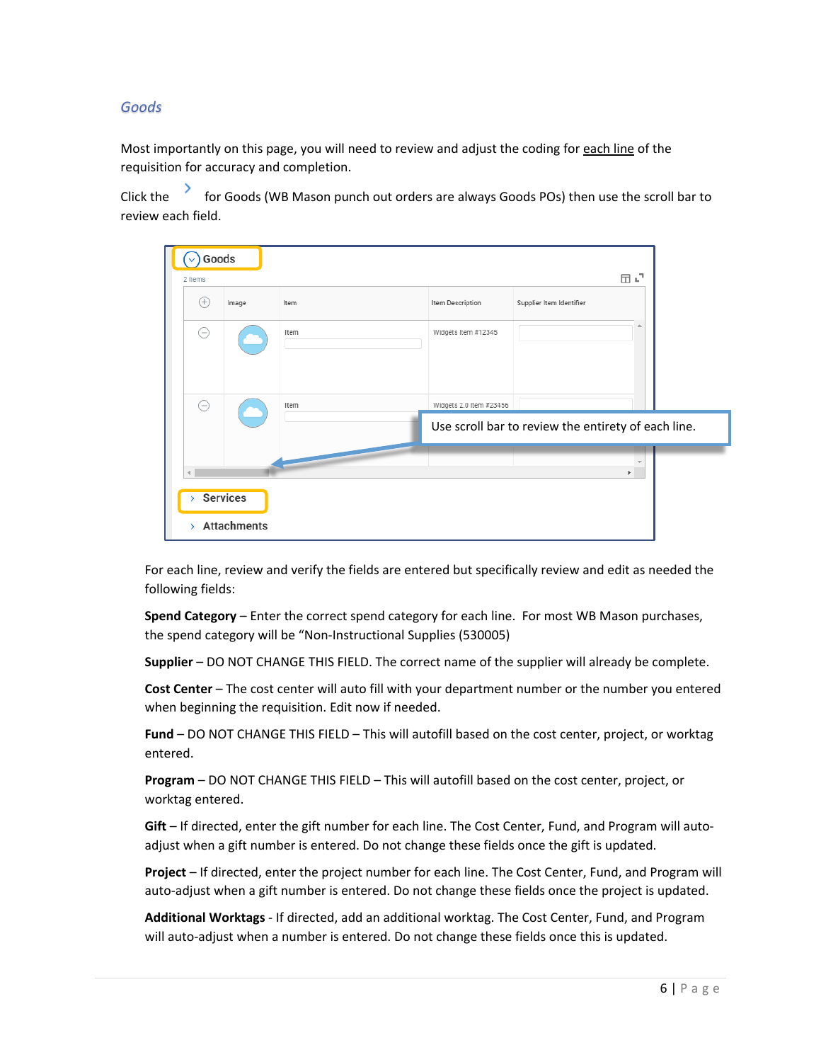## *Goods*

Most importantly on this page, you will need to review and adjust the coding for each line of the requisition for accuracy and completion.

Click the for Goods (WB Mason punch out orders are always Goods POs) then use the scroll bar to review each field.

| 2 items       | Goods                                          |                    |      |                         | 団い                                                  |  |
|---------------|------------------------------------------------|--------------------|------|-------------------------|-----------------------------------------------------|--|
|               | (+)                                            | Image              | Item | Item Description        | Supplier Item Identifier                            |  |
|               | $\left( \begin{matrix} - \end{matrix} \right)$ |                    | Item | Widgets Item #12345     | ۸                                                   |  |
|               | ⊝                                              |                    | Item | Widgets 2.0 Item #23456 |                                                     |  |
|               |                                                |                    |      |                         | Use scroll bar to review the entirety of each line. |  |
|               |                                                |                    |      |                         | $\overline{\mathbf{v}}$<br>Þ.                       |  |
| У             |                                                | <b>Services</b>    |      |                         |                                                     |  |
| $\mathcal{P}$ |                                                | <b>Attachments</b> |      |                         |                                                     |  |

For each line, review and verify the fields are entered but specifically review and edit as needed the following fields:

**Spend Category** – Enter the correct spend category for each line. For most WB Mason purchases, the spend category will be "Non-Instructional Supplies (530005)

**Supplier** – DO NOT CHANGE THIS FIELD. The correct name of the supplier will already be complete.

**Cost Center** – The cost center will auto fill with your department number or the number you entered when beginning the requisition. Edit now if needed.

**Fund** – DO NOT CHANGE THIS FIELD – This will autofill based on the cost center, project, or worktag entered.

**Program** – DO NOT CHANGE THIS FIELD – This will autofill based on the cost center, project, or worktag entered.

**Gift** – If directed, enter the gift number for each line. The Cost Center, Fund, and Program will autoadjust when a gift number is entered. Do not change these fields once the gift is updated.

**Project** – If directed, enter the project number for each line. The Cost Center, Fund, and Program will auto-adjust when a gift number is entered. Do not change these fields once the project is updated.

**Additional Worktags** - If directed, add an additional worktag. The Cost Center, Fund, and Program will auto-adjust when a number is entered. Do not change these fields once this is updated.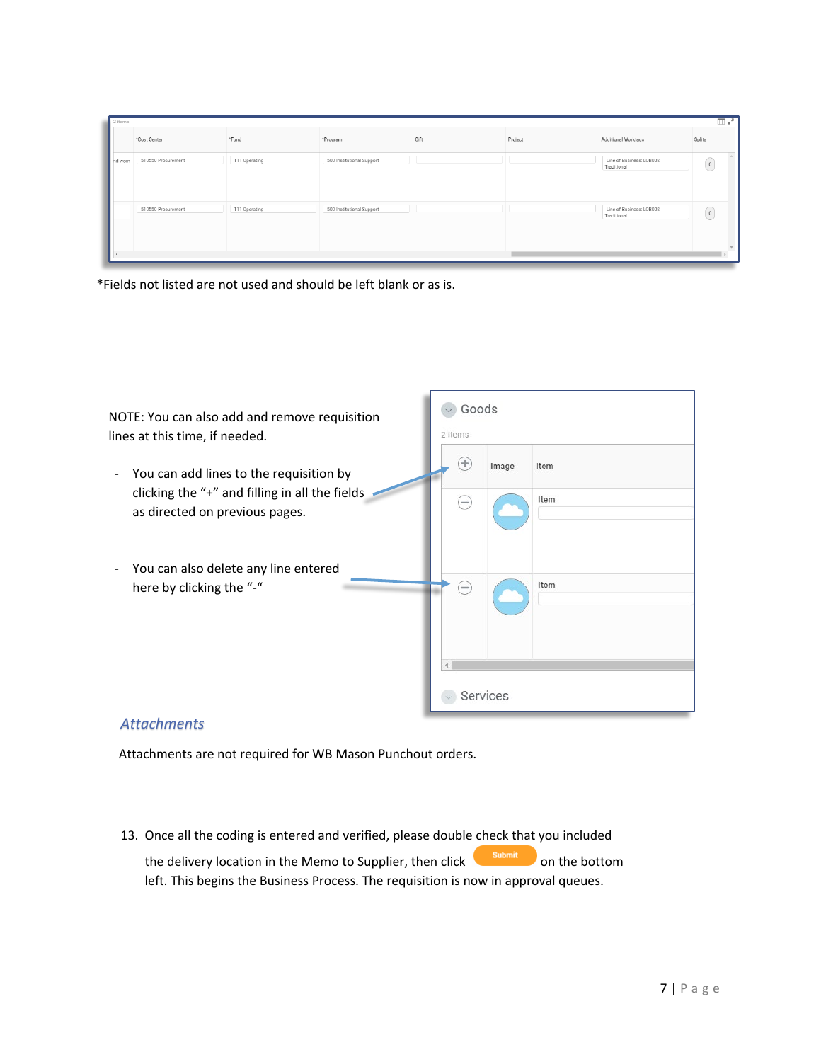| 2 items |                    |               |                           |      |         |                                         | $\Box$ $x^*$                                    |
|---------|--------------------|---------------|---------------------------|------|---------|-----------------------------------------|-------------------------------------------------|
|         | *Cost Center       | *Fund         | *Program                  | Gift | Project | Additional Worktags                     | Splits                                          |
| nd worn | 510550 Procurement | 111 Operating | 500 Institutional Support |      |         | Line of Business: LOB002<br>Traditional | $\alpha$                                        |
|         | 510550 Procurement | 111 Operating | 500 Institutional Support |      |         | Line of Business: LOB002<br>Traditional | $\left[ \begin{array}{c} 0 \end{array} \right]$ |

\*Fields not listed are not used and should be left blank or as is.



## *Attachments*

Attachments are not required for WB Mason Punchout orders.

13. Once all the coding is entered and verified, please double check that you included

the delivery location in the Memo to Supplier, then click submit on the bottom left. This begins the Business Process. The requisition is now in approval queues.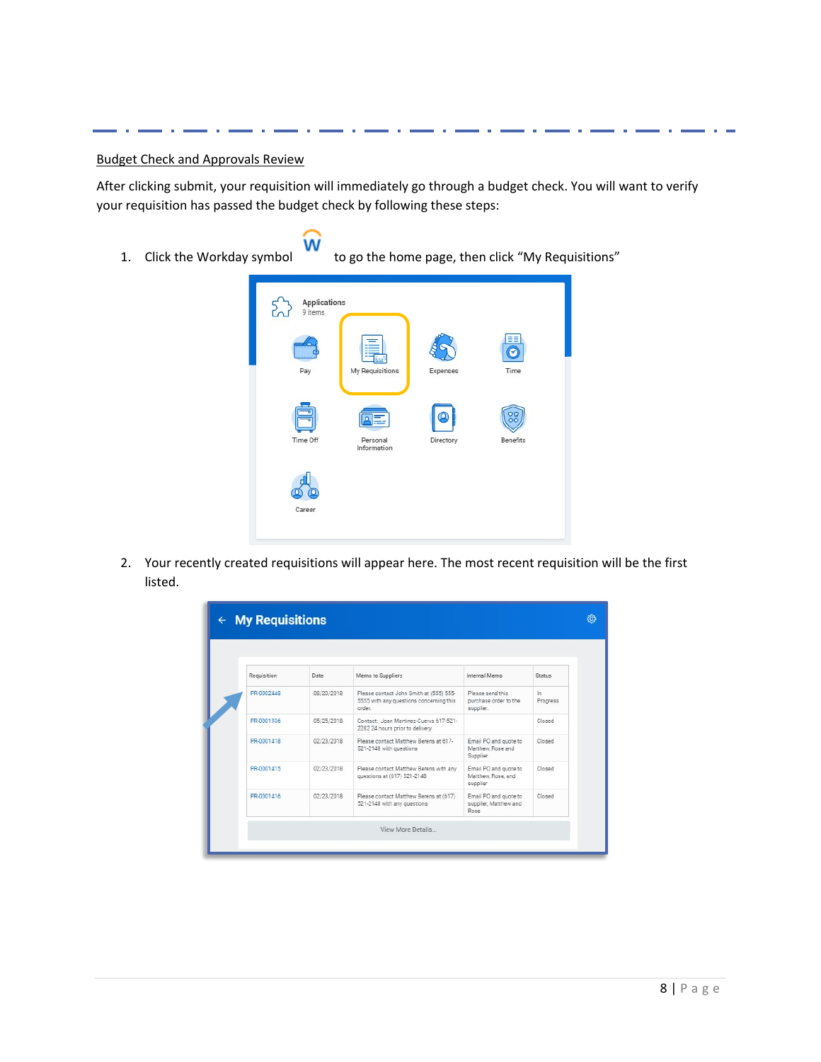#### Budget Check and Approvals Review

After clicking submit, your requisition will immediately go through a budget check. You will want to verify your requisition has passed the budget check by following these steps:

w

1. Click the Workday symbol to go the home page, then click "My Requisitions"



2. Your recently created requisitions will appear here. The most recent requisition will be the first listed.

| Requisition | Date       | Memo to Suppliers                                                                            | Internal Memo                                           | <b>Status</b>     |
|-------------|------------|----------------------------------------------------------------------------------------------|---------------------------------------------------------|-------------------|
| PR-0002448  | 08/20/2018 | Please contact John Smith at (555) 555-<br>5555 with any questions concerning this<br>order. | Please send this<br>purchase order to the<br>supplier.  | $\ln$<br>Progress |
| PR-0001936  | 05/25/2018 | Contact: Joan Martinez-Cuerya 617-521-<br>2282 24 hours prior to delivery                    |                                                         | Closed            |
| PR-0001418  | 02/23/2018 | Please contact Matthew Berens at 617-<br>521-2148 with questions                             | Email PO and guote to<br>Matthew, Rose and<br>Supplier  | Closed            |
| PR-0001415  | 02/23/2018 | Please contact Matthew Berens with any<br>questions at (617) 521-2148                        | Email PO and quote to<br>Matthew, Rose, and<br>supplier | Closed            |
| PR-0001416  | 02/23/2018 | Please contact Matthew Berens at (617)<br>521-2148 with any questions                        | Email PO and quote to<br>supplier, Matthew and<br>Rose  | Closed            |